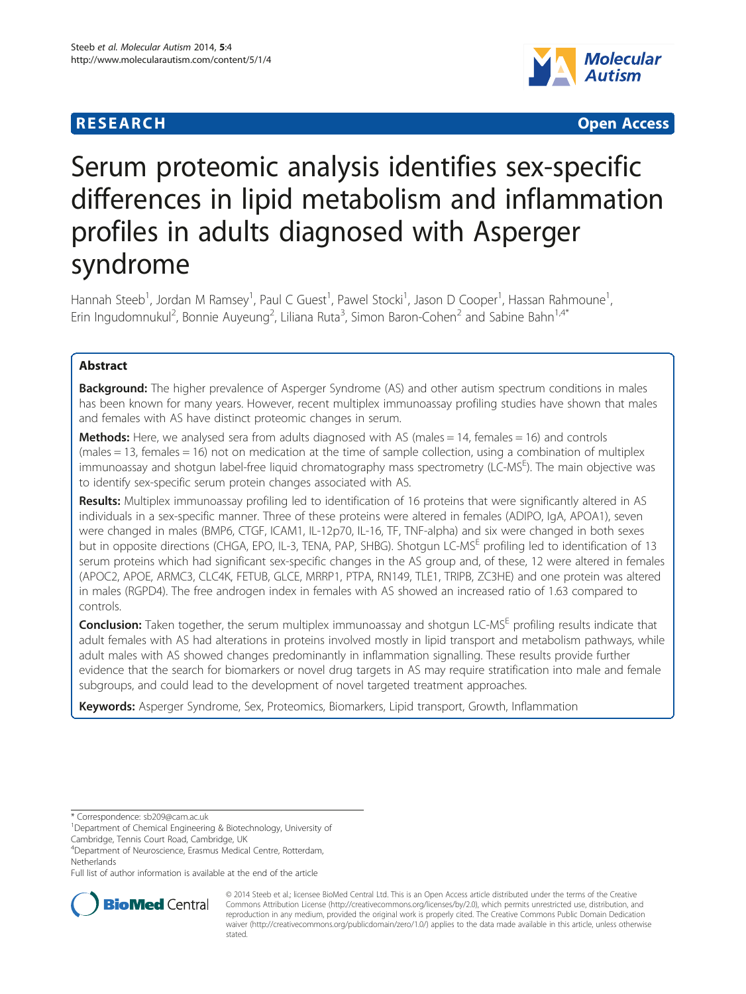# **RESEARCH CHE CHE Open Access**



# Serum proteomic analysis identifies sex-specific differences in lipid metabolism and inflammation profiles in adults diagnosed with Asperger syndrome

Hannah Steeb<sup>1</sup>, Jordan M Ramsey<sup>1</sup>, Paul C Guest<sup>1</sup>, Pawel Stocki<sup>1</sup>, Jason D Cooper<sup>1</sup>, Hassan Rahmoune<sup>1</sup> , Erin Ingudomnukul<sup>2</sup>, Bonnie Auyeung<sup>2</sup>, Liliana Ruta<sup>3</sup>, Simon Baron-Cohen<sup>2</sup> and Sabine Bahn<sup>1,4\*</sup>

# Abstract

**Background:** The higher prevalence of Asperger Syndrome (AS) and other autism spectrum conditions in males has been known for many years. However, recent multiplex immunoassay profiling studies have shown that males and females with AS have distinct proteomic changes in serum.

**Methods:** Here, we analysed sera from adults diagnosed with AS (males  $= 14$ , females  $= 16$ ) and controls (males = 13, females = 16) not on medication at the time of sample collection, using a combination of multiplex immunoassay and shotgun label-free liquid chromatography mass spectrometry (LC-MS<sup>E</sup>). The main objective was to identify sex-specific serum protein changes associated with AS.

Results: Multiplex immunoassay profiling led to identification of 16 proteins that were significantly altered in AS individuals in a sex-specific manner. Three of these proteins were altered in females (ADIPO, IgA, APOA1), seven were changed in males (BMP6, CTGF, ICAM1, IL-12p70, IL-16, TF, TNF-alpha) and six were changed in both sexes but in opposite directions (CHGA, EPO, IL-3, TENA, PAP, SHBG). Shotgun LC-MS<sup>E</sup> profiling led to identification of 13 serum proteins which had significant sex-specific changes in the AS group and, of these, 12 were altered in females (APOC2, APOE, ARMC3, CLC4K, FETUB, GLCE, MRRP1, PTPA, RN149, TLE1, TRIPB, ZC3HE) and one protein was altered in males (RGPD4). The free androgen index in females with AS showed an increased ratio of 1.63 compared to controls.

**Conclusion:** Taken together, the serum multiplex immunoassay and shotgun LC-MSE profiling results indicate that adult females with AS had alterations in proteins involved mostly in lipid transport and metabolism pathways, while adult males with AS showed changes predominantly in inflammation signalling. These results provide further evidence that the search for biomarkers or novel drug targets in AS may require stratification into male and female subgroups, and could lead to the development of novel targeted treatment approaches.

Keywords: Asperger Syndrome, Sex, Proteomics, Biomarkers, Lipid transport, Growth, Inflammation

Cambridge, Tennis Court Road, Cambridge, UK

Full list of author information is available at the end of the article



© 2014 Steeb et al.; licensee BioMed Central Ltd. This is an Open Access article distributed under the terms of the Creative Commons Attribution License [\(http://creativecommons.org/licenses/by/2.0\)](http://creativecommons.org/licenses/by/2.0), which permits unrestricted use, distribution, and reproduction in any medium, provided the original work is properly cited. The Creative Commons Public Domain Dedication waiver [\(http://creativecommons.org/publicdomain/zero/1.0/\)](http://creativecommons.org/publicdomain/zero/1.0/) applies to the data made available in this article, unless otherwise stated.

<sup>\*</sup> Correspondence: [sb209@cam.ac.uk](mailto:sb209@cam.ac.uk) <sup>1</sup>

<sup>&</sup>lt;sup>1</sup>Department of Chemical Engineering & Biotechnology, University of

<sup>4</sup> Department of Neuroscience, Erasmus Medical Centre, Rotterdam, Netherlands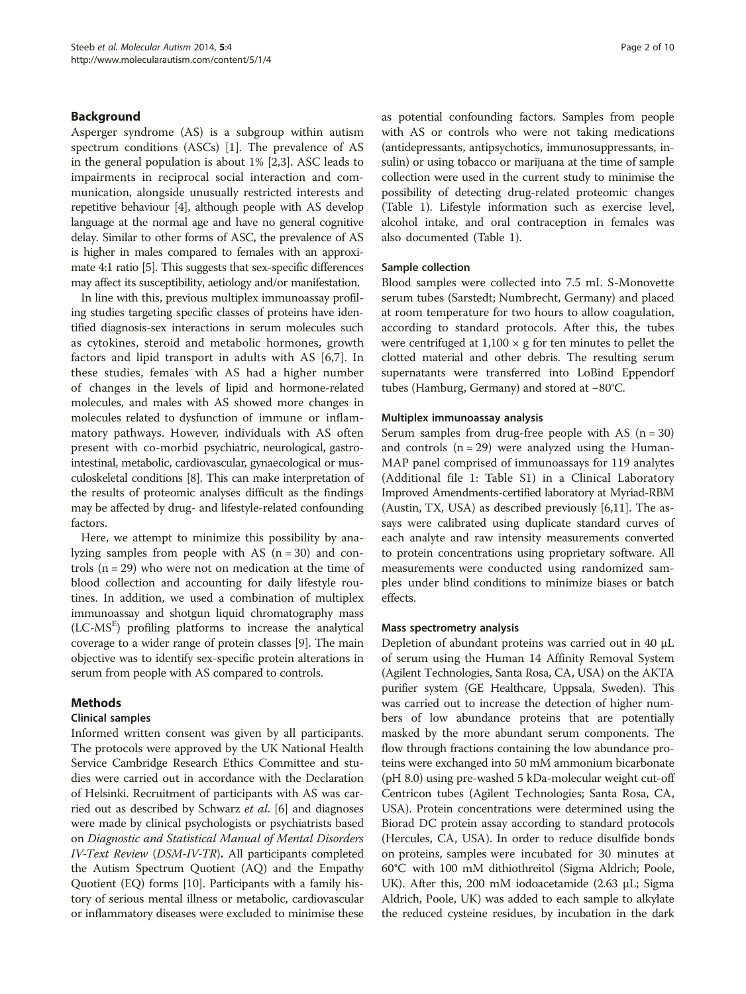# Background

Asperger syndrome (AS) is a subgroup within autism spectrum conditions (ASCs) [[1\]](#page-8-0). The prevalence of AS in the general population is about 1% [[2,3\]](#page-8-0). ASC leads to impairments in reciprocal social interaction and communication, alongside unusually restricted interests and repetitive behaviour [\[4\]](#page-8-0), although people with AS develop language at the normal age and have no general cognitive delay. Similar to other forms of ASC, the prevalence of AS is higher in males compared to females with an approximate 4:1 ratio [\[5\]](#page-8-0). This suggests that sex-specific differences may affect its susceptibility, aetiology and/or manifestation.

In line with this, previous multiplex immunoassay profiling studies targeting specific classes of proteins have identified diagnosis-sex interactions in serum molecules such as cytokines, steroid and metabolic hormones, growth factors and lipid transport in adults with AS [[6,7\]](#page-8-0). In these studies, females with AS had a higher number of changes in the levels of lipid and hormone-related molecules, and males with AS showed more changes in molecules related to dysfunction of immune or inflammatory pathways. However, individuals with AS often present with co-morbid psychiatric, neurological, gastrointestinal, metabolic, cardiovascular, gynaecological or musculoskeletal conditions [\[8\]](#page-8-0). This can make interpretation of the results of proteomic analyses difficult as the findings may be affected by drug- and lifestyle-related confounding factors.

Here, we attempt to minimize this possibility by analyzing samples from people with AS  $(n = 30)$  and controls  $(n = 29)$  who were not on medication at the time of blood collection and accounting for daily lifestyle routines. In addition, we used a combination of multiplex immunoassay and shotgun liquid chromatography mass (LC-MSE ) profiling platforms to increase the analytical coverage to a wider range of protein classes [\[9](#page-8-0)]. The main objective was to identify sex-specific protein alterations in serum from people with AS compared to controls.

# Methods

#### Clinical samples

Informed written consent was given by all participants. The protocols were approved by the UK National Health Service Cambridge Research Ethics Committee and studies were carried out in accordance with the Declaration of Helsinki. Recruitment of participants with AS was carried out as described by Schwarz et al. [\[6](#page-8-0)] and diagnoses were made by clinical psychologists or psychiatrists based on Diagnostic and Statistical Manual of Mental Disorders IV-Text Review (DSM-IV-TR). All participants completed the Autism Spectrum Quotient (AQ) and the Empathy Quotient (EQ) forms [\[10\]](#page-8-0). Participants with a family history of serious mental illness or metabolic, cardiovascular or inflammatory diseases were excluded to minimise these

as potential confounding factors. Samples from people with AS or controls who were not taking medications (antidepressants, antipsychotics, immunosuppressants, insulin) or using tobacco or marijuana at the time of sample collection were used in the current study to minimise the possibility of detecting drug-related proteomic changes (Table [1](#page-2-0)). Lifestyle information such as exercise level, alcohol intake, and oral contraception in females was also documented (Table [1\)](#page-2-0).

# Sample collection

Blood samples were collected into 7.5 mL S-Monovette serum tubes (Sarstedt; Numbrecht, Germany) and placed at room temperature for two hours to allow coagulation, according to standard protocols. After this, the tubes were centrifuged at  $1,100 \times g$  for ten minutes to pellet the clotted material and other debris. The resulting serum supernatants were transferred into LoBind Eppendorf tubes (Hamburg, Germany) and stored at −80°C.

# Multiplex immunoassay analysis

Serum samples from drug-free people with AS  $(n = 30)$ and controls  $(n = 29)$  were analyzed using the Human-MAP panel comprised of immunoassays for 119 analytes (Additional file [1:](#page-7-0) Table S1) in a Clinical Laboratory Improved Amendments-certified laboratory at Myriad-RBM (Austin, TX, USA) as described previously [[6,11](#page-8-0)]. The assays were calibrated using duplicate standard curves of each analyte and raw intensity measurements converted to protein concentrations using proprietary software. All measurements were conducted using randomized samples under blind conditions to minimize biases or batch effects.

#### Mass spectrometry analysis

Depletion of abundant proteins was carried out in 40 μL of serum using the Human 14 Affinity Removal System (Agilent Technologies, Santa Rosa, CA, USA) on the AKTA purifier system (GE Healthcare, Uppsala, Sweden). This was carried out to increase the detection of higher numbers of low abundance proteins that are potentially masked by the more abundant serum components. The flow through fractions containing the low abundance proteins were exchanged into 50 mM ammonium bicarbonate (pH 8.0) using pre-washed 5 kDa-molecular weight cut-off Centricon tubes (Agilent Technologies; Santa Rosa, CA, USA). Protein concentrations were determined using the Biorad DC protein assay according to standard protocols (Hercules, CA, USA). In order to reduce disulfide bonds on proteins, samples were incubated for 30 minutes at 60°C with 100 mM dithiothreitol (Sigma Aldrich; Poole, UK). After this, 200 mM iodoacetamide (2.63 μL; Sigma Aldrich, Poole, UK) was added to each sample to alkylate the reduced cysteine residues, by incubation in the dark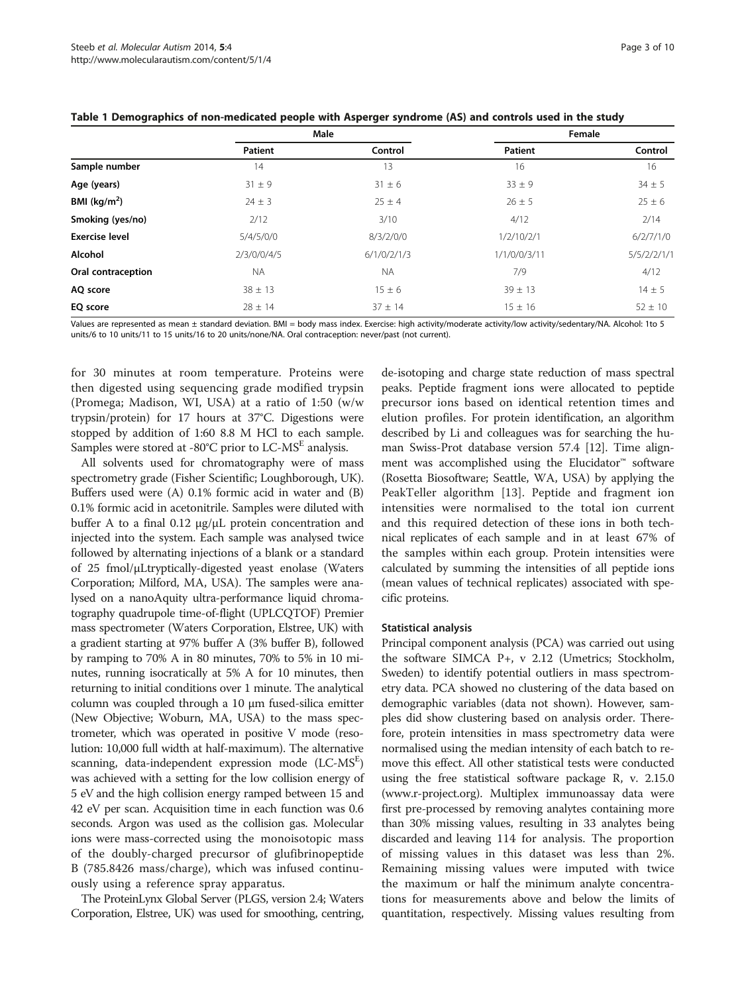|                       | Male        |             | Female       |               |  |
|-----------------------|-------------|-------------|--------------|---------------|--|
|                       | Patient     | Control     | Patient      | Control<br>16 |  |
| Sample number         | 14          | 13          | 16           |               |  |
| Age (years)           | $31 \pm 9$  | $31 \pm 6$  | $33 \pm 9$   | $34 \pm 5$    |  |
| BMI $(kq/m2)$         | $24 \pm 3$  | $25 \pm 4$  | $26 \pm 5$   | $25 \pm 6$    |  |
| Smoking (yes/no)      | 2/12        | 3/10        | 4/12         | 2/14          |  |
| <b>Exercise level</b> | 5/4/5/0/0   | 8/3/2/0/0   | 1/2/10/2/1   | 6/2/7/1/0     |  |
| Alcohol               | 2/3/0/0/4/5 | 6/1/0/2/1/3 | 1/1/0/0/3/11 | 5/5/2/2/1/1   |  |
| Oral contraception    | <b>NA</b>   | <b>NA</b>   | 7/9          | 4/12          |  |
| AQ score              | $38 \pm 13$ | $15 \pm 6$  | $39 \pm 13$  | $14 \pm 5$    |  |
| EQ score              | $28 \pm 14$ | $37 + 14$   | $15 \pm 16$  | $52 \pm 10$   |  |

<span id="page-2-0"></span>

Values are represented as mean ± standard deviation. BMI = body mass index. Exercise: high activity/moderate activity/low activity/sedentary/NA. Alcohol: 1to 5 units/6 to 10 units/11 to 15 units/16 to 20 units/none/NA. Oral contraception: never/past (not current).

for 30 minutes at room temperature. Proteins were then digested using sequencing grade modified trypsin (Promega; Madison, WI, USA) at a ratio of 1:50 (w/w trypsin/protein) for 17 hours at 37°C. Digestions were stopped by addition of 1:60 8.8 M HCl to each sample. Samples were stored at -80°C prior to LC-MSE analysis.

All solvents used for chromatography were of mass spectrometry grade (Fisher Scientific; Loughborough, UK). Buffers used were (A) 0.1% formic acid in water and (B) 0.1% formic acid in acetonitrile. Samples were diluted with buffer A to a final  $0.12 \mu$ g/μL protein concentration and injected into the system. Each sample was analysed twice followed by alternating injections of a blank or a standard of 25 fmol/μLtryptically-digested yeast enolase (Waters Corporation; Milford, MA, USA). The samples were analysed on a nanoAquity ultra-performance liquid chromatography quadrupole time-of-flight (UPLCQTOF) Premier mass spectrometer (Waters Corporation, Elstree, UK) with a gradient starting at 97% buffer A (3% buffer B), followed by ramping to 70% A in 80 minutes, 70% to 5% in 10 minutes, running isocratically at 5% A for 10 minutes, then returning to initial conditions over 1 minute. The analytical column was coupled through a 10 μm fused-silica emitter (New Objective; Woburn, MA, USA) to the mass spectrometer, which was operated in positive V mode (resolution: 10,000 full width at half-maximum). The alternative scanning, data-independent expression mode  $(LC\text{-}MS^E)$ was achieved with a setting for the low collision energy of 5 eV and the high collision energy ramped between 15 and 42 eV per scan. Acquisition time in each function was 0.6 seconds. Argon was used as the collision gas. Molecular ions were mass-corrected using the monoisotopic mass of the doubly-charged precursor of glufibrinopeptide B (785.8426 mass/charge), which was infused continuously using a reference spray apparatus.

The ProteinLynx Global Server (PLGS, version 2.4; Waters Corporation, Elstree, UK) was used for smoothing, centring,

de-isotoping and charge state reduction of mass spectral peaks. Peptide fragment ions were allocated to peptide precursor ions based on identical retention times and elution profiles. For protein identification, an algorithm described by Li and colleagues was for searching the human Swiss-Prot database version 57.4 [\[12](#page-8-0)]. Time alignment was accomplished using the Elucidator™ software (Rosetta Biosoftware; Seattle, WA, USA) by applying the PeakTeller algorithm [[13\]](#page-8-0). Peptide and fragment ion intensities were normalised to the total ion current and this required detection of these ions in both technical replicates of each sample and in at least 67% of the samples within each group. Protein intensities were calculated by summing the intensities of all peptide ions (mean values of technical replicates) associated with specific proteins.

#### Statistical analysis

Principal component analysis (PCA) was carried out using the software SIMCA P+, v 2.12 (Umetrics; Stockholm, Sweden) to identify potential outliers in mass spectrometry data. PCA showed no clustering of the data based on demographic variables (data not shown). However, samples did show clustering based on analysis order. Therefore, protein intensities in mass spectrometry data were normalised using the median intensity of each batch to remove this effect. All other statistical tests were conducted using the free statistical software package R, v. 2.15.0 ([www.r-project.org](http://www.r-project.org)). Multiplex immunoassay data were first pre-processed by removing analytes containing more than 30% missing values, resulting in 33 analytes being discarded and leaving 114 for analysis. The proportion of missing values in this dataset was less than 2%. Remaining missing values were imputed with twice the maximum or half the minimum analyte concentrations for measurements above and below the limits of quantitation, respectively. Missing values resulting from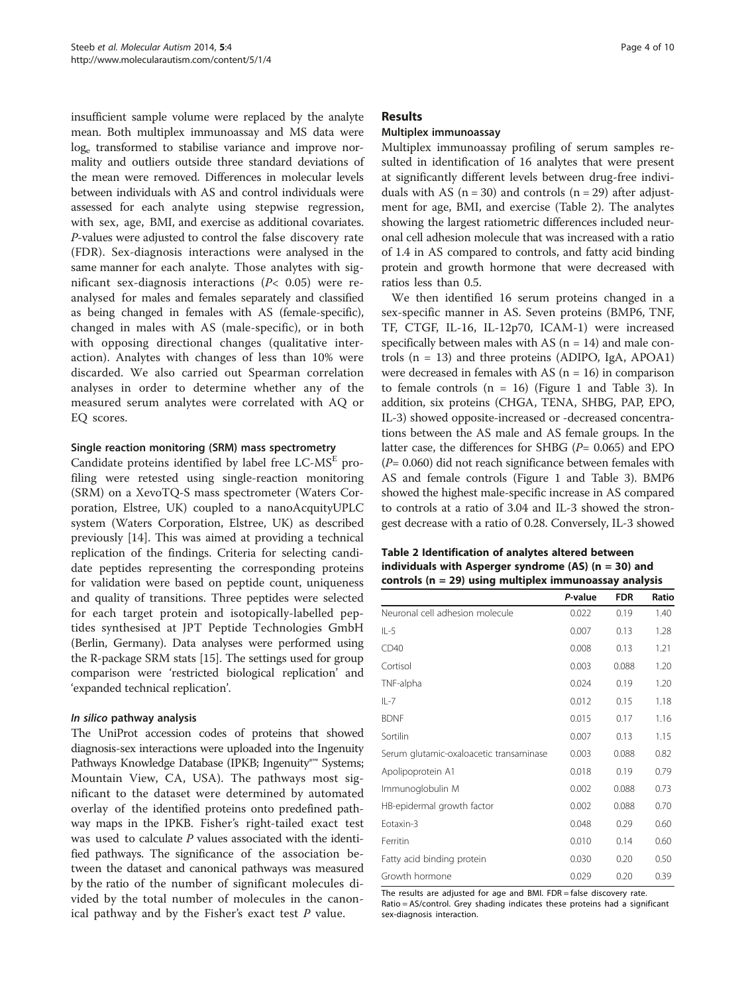<span id="page-3-0"></span>insufficient sample volume were replaced by the analyte mean. Both multiplex immunoassay and MS data were loge transformed to stabilise variance and improve normality and outliers outside three standard deviations of the mean were removed. Differences in molecular levels between individuals with AS and control individuals were assessed for each analyte using stepwise regression, with sex, age, BMI, and exercise as additional covariates. P-values were adjusted to control the false discovery rate (FDR). Sex-diagnosis interactions were analysed in the same manner for each analyte. Those analytes with significant sex-diagnosis interactions (P< 0.05) were reanalysed for males and females separately and classified as being changed in females with AS (female-specific), changed in males with AS (male-specific), or in both with opposing directional changes (qualitative interaction). Analytes with changes of less than 10% were discarded. We also carried out Spearman correlation analyses in order to determine whether any of the measured serum analytes were correlated with AQ or EQ scores.

#### Single reaction monitoring (SRM) mass spectrometry

Candidate proteins identified by label free  $LC-MS<sup>E</sup>$  profiling were retested using single-reaction monitoring (SRM) on a XevoTQ-S mass spectrometer (Waters Corporation, Elstree, UK) coupled to a nanoAcquityUPLC system (Waters Corporation, Elstree, UK) as described previously [\[14\]](#page-8-0). This was aimed at providing a technical replication of the findings. Criteria for selecting candidate peptides representing the corresponding proteins for validation were based on peptide count, uniqueness and quality of transitions. Three peptides were selected for each target protein and isotopically-labelled peptides synthesised at JPT Peptide Technologies GmbH (Berlin, Germany). Data analyses were performed using the R-package SRM stats [\[15](#page-8-0)]. The settings used for group comparison were 'restricted biological replication' and 'expanded technical replication'.

# In silico pathway analysis

The UniProt accession codes of proteins that showed diagnosis-sex interactions were uploaded into the Ingenuity Pathways Knowledge Database (IPKB; Ingenuity<sup>®™</sup> Systems; Mountain View, CA, USA). The pathways most significant to the dataset were determined by automated overlay of the identified proteins onto predefined pathway maps in the IPKB. Fisher's right-tailed exact test was used to calculate  $P$  values associated with the identified pathways. The significance of the association between the dataset and canonical pathways was measured by the ratio of the number of significant molecules divided by the total number of molecules in the canonical pathway and by the Fisher's exact test  $P$  value.

# Results

## Multiplex immunoassay

Multiplex immunoassay profiling of serum samples resulted in identification of 16 analytes that were present at significantly different levels between drug-free individuals with AS  $(n = 30)$  and controls  $(n = 29)$  after adjustment for age, BMI, and exercise (Table 2). The analytes showing the largest ratiometric differences included neuronal cell adhesion molecule that was increased with a ratio of 1.4 in AS compared to controls, and fatty acid binding protein and growth hormone that were decreased with ratios less than 0.5.

We then identified 16 serum proteins changed in a sex-specific manner in AS. Seven proteins (BMP6, TNF, TF, CTGF, IL-16, IL-12p70, ICAM-1) were increased specifically between males with AS ( $n = 14$ ) and male controls  $(n = 13)$  and three proteins (ADIPO, IgA, APOA1) were decreased in females with AS ( $n = 16$ ) in comparison to female controls  $(n = 16)$  $(n = 16)$  $(n = 16)$  (Figure 1 and Table [3](#page-5-0)). In addition, six proteins (CHGA, TENA, SHBG, PAP, EPO, IL-3) showed opposite-increased or -decreased concentrations between the AS male and AS female groups. In the latter case, the differences for SHBG ( $P= 0.065$ ) and EPO  $(P= 0.060)$  did not reach significance between females with AS and female controls (Figure [1](#page-4-0) and Table [3](#page-5-0)). BMP6 showed the highest male-specific increase in AS compared to controls at a ratio of 3.04 and IL-3 showed the strongest decrease with a ratio of 0.28. Conversely, IL-3 showed

Table 2 Identification of analytes altered between individuals with Asperger syndrome  $(AS)$  (n = 30) and controls (n = 29) using multiplex immunoassay analysis

|                                         | P-value | <b>FDR</b> | Ratio |
|-----------------------------------------|---------|------------|-------|
| Neuronal cell adhesion molecule         | 0.022   | 0.19       | 1.40  |
| $IL-5$                                  | 0.007   | 0.13       | 1.28  |
| CD40                                    | 0.008   | 0.13       | 1.21  |
| Cortisol                                | 0.003   | 0.088      | 1.20  |
| TNF-alpha                               | 0.024   | 0.19       | 1.20  |
| $II - 7$                                | 0.012   | 0.15       | 1.18  |
| <b>BDNF</b>                             | 0.015   | 0.17       | 1.16  |
| Sortilin                                | 0.007   | 0.13       | 1.15  |
| Serum glutamic-oxaloacetic transaminase | 0.003   | 0.088      | 0.82  |
| Apolipoprotein A1                       | 0.018   | 0.19       | 0.79  |
| Immunoglobulin M                        | 0.002   | 0.088      | 0.73  |
| HB-epidermal growth factor              | 0.002   | 0.088      | 0.70  |
| Eotaxin-3                               | 0.048   | 0.29       | 0.60  |
| Ferritin                                | 0.010   | 0.14       | 0.60  |
| Fatty acid binding protein              | 0.030   | 0.20       | 0.50  |
| Growth hormone                          | 0.029   | 0.20       | 0.39  |

The results are adjusted for age and BMI. FDR = false discovery rate Ratio = AS/control. Grey shading indicates these proteins had a significant sex-diagnosis interaction.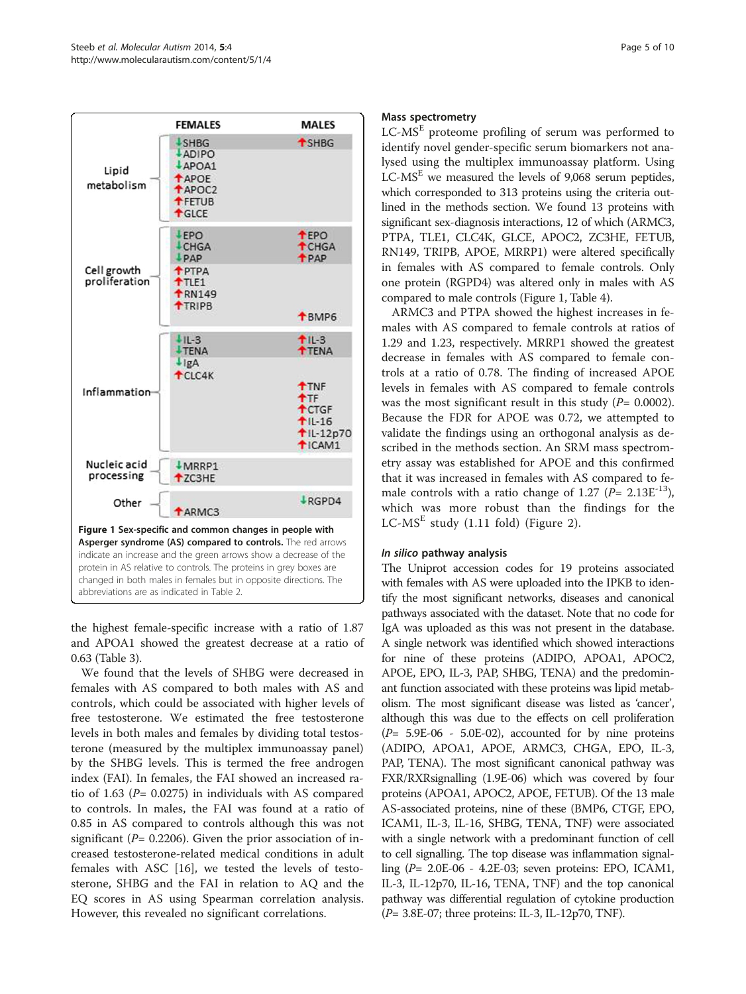<span id="page-4-0"></span>

the highest female-specific increase with a ratio of 1.87 and APOA1 showed the greatest decrease at a ratio of 0.63 (Table [3](#page-5-0)).

We found that the levels of SHBG were decreased in females with AS compared to both males with AS and controls, which could be associated with higher levels of free testosterone. We estimated the free testosterone levels in both males and females by dividing total testosterone (measured by the multiplex immunoassay panel) by the SHBG levels. This is termed the free androgen index (FAI). In females, the FAI showed an increased ratio of 1.63 ( $P = 0.0275$ ) in individuals with AS compared to controls. In males, the FAI was found at a ratio of 0.85 in AS compared to controls although this was not significant ( $P = 0.2206$ ). Given the prior association of increased testosterone-related medical conditions in adult females with ASC [[16](#page-8-0)], we tested the levels of testosterone, SHBG and the FAI in relation to AQ and the EQ scores in AS using Spearman correlation analysis. However, this revealed no significant correlations.

## Mass spectrometry

 $LC-MS<sup>E</sup>$  proteome profiling of serum was performed to identify novel gender-specific serum biomarkers not analysed using the multiplex immunoassay platform. Using  $LC-MS<sup>E</sup>$  we measured the levels of 9,068 serum peptides, which corresponded to 313 proteins using the criteria outlined in the methods section. We found 13 proteins with significant sex-diagnosis interactions, 12 of which (ARMC3, PTPA, TLE1, CLC4K, GLCE, APOC2, ZC3HE, FETUB, RN149, TRIPB, APOE, MRRP1) were altered specifically in females with AS compared to female controls. Only one protein (RGPD4) was altered only in males with AS compared to male controls (Figure 1, Table [4](#page-5-0)).

ARMC3 and PTPA showed the highest increases in females with AS compared to female controls at ratios of 1.29 and 1.23, respectively. MRRP1 showed the greatest decrease in females with AS compared to female controls at a ratio of 0.78. The finding of increased APOE levels in females with AS compared to female controls was the most significant result in this study  $(P= 0.0002)$ . Because the FDR for APOE was 0.72, we attempted to validate the findings using an orthogonal analysis as described in the methods section. An SRM mass spectrometry assay was established for APOE and this confirmed that it was increased in females with AS compared to female controls with a ratio change of 1.27 ( $P = 2.13E^{-13}$ ), which was more robust than the findings for the  $LC-MS<sup>E</sup>$  study (1.11 fold) (Figure [2\)](#page-6-0).

#### In silico pathway analysis

The Uniprot accession codes for 19 proteins associated with females with AS were uploaded into the IPKB to identify the most significant networks, diseases and canonical pathways associated with the dataset. Note that no code for IgA was uploaded as this was not present in the database. A single network was identified which showed interactions for nine of these proteins (ADIPO, APOA1, APOC2, APOE, EPO, IL-3, PAP, SHBG, TENA) and the predominant function associated with these proteins was lipid metabolism. The most significant disease was listed as 'cancer', although this was due to the effects on cell proliferation  $(P= 5.9E-06 - 5.0E-02)$ , accounted for by nine proteins (ADIPO, APOA1, APOE, ARMC3, CHGA, EPO, IL-3, PAP, TENA). The most significant canonical pathway was FXR/RXRsignalling (1.9E-06) which was covered by four proteins (APOA1, APOC2, APOE, FETUB). Of the 13 male AS-associated proteins, nine of these (BMP6, CTGF, EPO, ICAM1, IL-3, IL-16, SHBG, TENA, TNF) were associated with a single network with a predominant function of cell to cell signalling. The top disease was inflammation signalling (P= 2.0E-06 - 4.2E-03; seven proteins: EPO, ICAM1, IL-3, IL-12p70, IL-16, TENA, TNF) and the top canonical pathway was differential regulation of cytokine production (P= 3.8E-07; three proteins: IL-3, IL-12p70, TNF).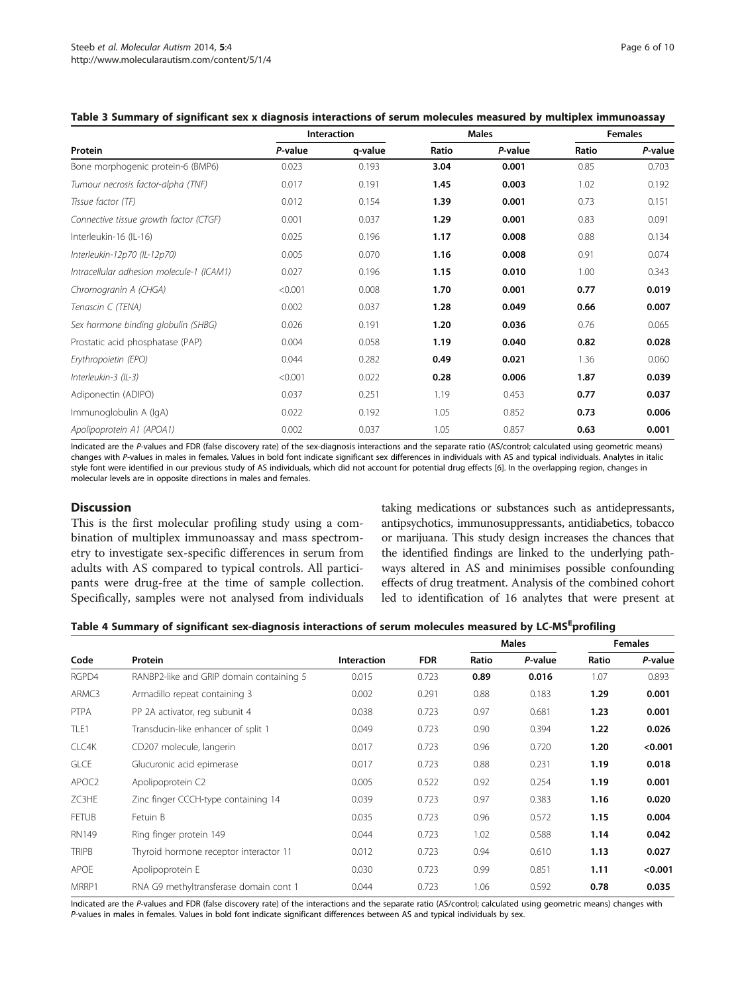| Page 6 of 10 |  |  |
|--------------|--|--|
|              |  |  |

|                                           | Interaction |         |       | <b>Males</b> | <b>Females</b> |         |
|-------------------------------------------|-------------|---------|-------|--------------|----------------|---------|
| Protein                                   | P-value     | q-value | Ratio | P-value      | Ratio          | P-value |
| Bone morphogenic protein-6 (BMP6)         | 0.023       | 0.193   | 3.04  | 0.001        | 0.85           | 0.703   |
| Tumour necrosis factor-alpha (TNF)        | 0.017       | 0.191   | 1.45  | 0.003        | 1.02           | 0.192   |
| Tissue factor (TF)                        | 0.012       | 0.154   | 1.39  | 0.001        | 0.73           | 0.151   |
| Connective tissue growth factor (CTGF)    | 0.001       | 0.037   | 1.29  | 0.001        | 0.83           | 0.091   |
| Interleukin-16 (IL-16)                    | 0.025       | 0.196   | 1.17  | 0.008        | 0.88           | 0.134   |
| Interleukin-12p70 (IL-12p70)              | 0.005       | 0.070   | 1.16  | 0.008        | 0.91           | 0.074   |
| Intracellular adhesion molecule-1 (ICAM1) | 0.027       | 0.196   | 1.15  | 0.010        | 1.00           | 0.343   |
| Chromogranin A (CHGA)                     | < 0.001     | 0.008   | 1.70  | 0.001        | 0.77           | 0.019   |
| Tenascin C (TENA)                         | 0.002       | 0.037   | 1.28  | 0.049        | 0.66           | 0.007   |
| Sex hormone binding globulin (SHBG)       | 0.026       | 0.191   | 1.20  | 0.036        | 0.76           | 0.065   |
| Prostatic acid phosphatase (PAP)          | 0.004       | 0.058   | 1.19  | 0.040        | 0.82           | 0.028   |
| Erythropoietin (EPO)                      | 0.044       | 0.282   | 0.49  | 0.021        | 1.36           | 0.060   |
| Interleukin-3 (IL-3)                      | < 0.001     | 0.022   | 0.28  | 0.006        | 1.87           | 0.039   |
| Adiponectin (ADIPO)                       | 0.037       | 0.251   | 1.19  | 0.453        | 0.77           | 0.037   |
| Immunoglobulin A (IgA)                    | 0.022       | 0.192   | 1.05  | 0.852        | 0.73           | 0.006   |
| Apolipoprotein A1 (APOA1)                 | 0.002       | 0.037   | 1.05  | 0.857        | 0.63           | 0.001   |

#### <span id="page-5-0"></span>Table 3 Summary of significant sex x diagnosis interactions of serum molecules measured by multiplex immunoassay

Indicated are the P-values and FDR (false discovery rate) of the sex-diagnosis interactions and the separate ratio (AS/control; calculated using geometric means) changes with P-values in males in females. Values in bold font indicate significant sex differences in individuals with AS and typical individuals. Analytes in italic style font were identified in our previous study of AS individuals, which did not account for potential drug effects [\[6\]](#page-8-0). In the overlapping region, changes in molecular levels are in opposite directions in males and females.

#### **Discussion**

This is the first molecular profiling study using a combination of multiplex immunoassay and mass spectrometry to investigate sex-specific differences in serum from adults with AS compared to typical controls. All participants were drug-free at the time of sample collection. Specifically, samples were not analysed from individuals

taking medications or substances such as antidepressants, antipsychotics, immunosuppressants, antidiabetics, tobacco or marijuana. This study design increases the chances that the identified findings are linked to the underlying pathways altered in AS and minimises possible confounding effects of drug treatment. Analysis of the combined cohort led to identification of 16 analytes that were present at

| Table 4 Summary of significant sex-diagnosis interactions of serum molecules measured by LC-MS <sup>E</sup> profiling |  |  |
|-----------------------------------------------------------------------------------------------------------------------|--|--|
|                                                                                                                       |  |  |

|                   |                                          |             |            | <b>Males</b> |         | <b>Females</b> |         |
|-------------------|------------------------------------------|-------------|------------|--------------|---------|----------------|---------|
| Code              | Protein                                  | Interaction | <b>FDR</b> | Ratio        | P-value | Ratio          | P-value |
| RGPD4             | RANBP2-like and GRIP domain containing 5 | 0.015       | 0.723      | 0.89         | 0.016   | 1.07           | 0.893   |
| ARMC3             | Armadillo repeat containing 3            | 0.002       | 0.291      | 0.88         | 0.183   | 1.29           | 0.001   |
| PTPA              | PP 2A activator, reg subunit 4           | 0.038       | 0.723      | 0.97         | 0.681   | 1.23           | 0.001   |
| TLE1              | Transducin-like enhancer of split 1      | 0.049       | 0.723      | 0.90         | 0.394   | 1.22           | 0.026   |
| CLC4K             | CD207 molecule, langerin                 | 0.017       | 0.723      | 0.96         | 0.720   | 1.20           | < 0.001 |
| <b>GLCE</b>       | Glucuronic acid epimerase                | 0.017       | 0.723      | 0.88         | 0.231   | 1.19           | 0.018   |
| APOC <sub>2</sub> | Apolipoprotein C2                        | 0.005       | 0.522      | 0.92         | 0.254   | 1.19           | 0.001   |
| ZC3HE             | Zinc finger CCCH-type containing 14      | 0.039       | 0.723      | 0.97         | 0.383   | 1.16           | 0.020   |
| <b>FETUB</b>      | Fetuin B                                 | 0.035       | 0.723      | 0.96         | 0.572   | 1.15           | 0.004   |
| <b>RN149</b>      | Ring finger protein 149                  | 0.044       | 0.723      | 1.02         | 0.588   | 1.14           | 0.042   |
| <b>TRIPB</b>      | Thyroid hormone receptor interactor 11   | 0.012       | 0.723      | 0.94         | 0.610   | 1.13           | 0.027   |
| APOE              | Apolipoprotein E                         | 0.030       | 0.723      | 0.99         | 0.851   | 1.11           | < 0.001 |
| MRRP1             | RNA G9 methyltransferase domain cont 1   | 0.044       | 0.723      | 1.06         | 0.592   | 0.78           | 0.035   |

Indicated are the P-values and FDR (false discovery rate) of the interactions and the separate ratio (AS/control; calculated using geometric means) changes with P-values in males in females. Values in bold font indicate significant differences between AS and typical individuals by sex.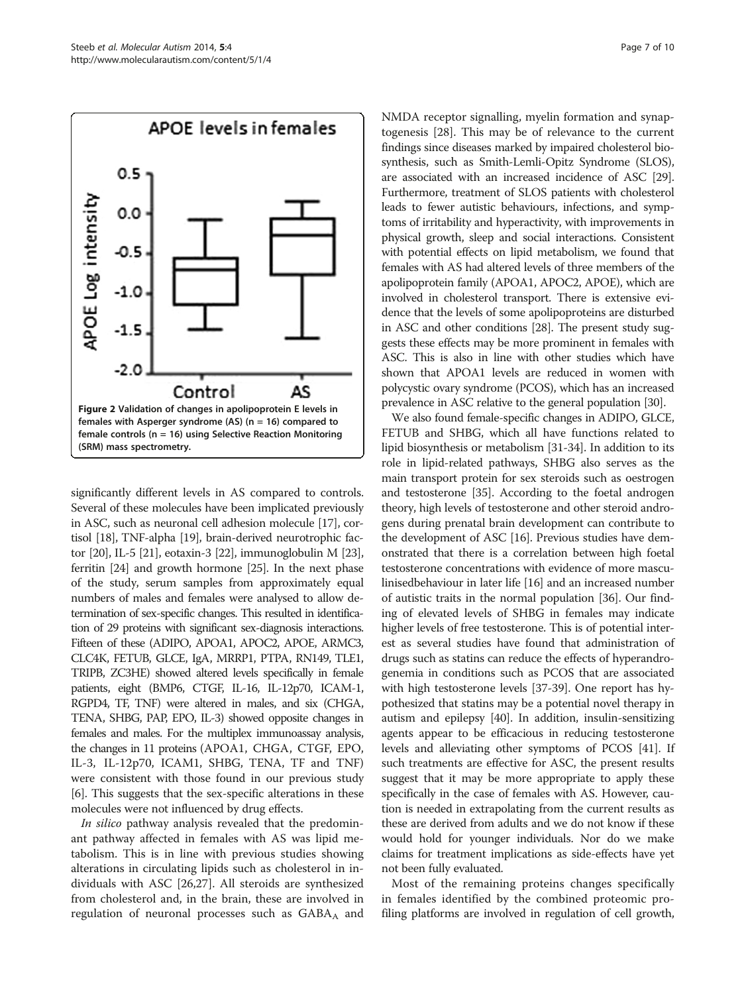<span id="page-6-0"></span>

significantly different levels in AS compared to controls. Several of these molecules have been implicated previously in ASC, such as neuronal cell adhesion molecule [\[17](#page-8-0)], cortisol [[18](#page-8-0)], TNF-alpha [[19](#page-8-0)], brain-derived neurotrophic factor [\[20\]](#page-8-0), IL-5 [\[21\]](#page-8-0), eotaxin-3 [[22](#page-8-0)], immunoglobulin M [[23](#page-8-0)], ferritin [[24](#page-8-0)] and growth hormone [\[25\]](#page-8-0). In the next phase of the study, serum samples from approximately equal numbers of males and females were analysed to allow determination of sex-specific changes. This resulted in identification of 29 proteins with significant sex-diagnosis interactions. Fifteen of these (ADIPO, APOA1, APOC2, APOE, ARMC3, CLC4K, FETUB, GLCE, IgA, MRRP1, PTPA, RN149, TLE1, TRIPB, ZC3HE) showed altered levels specifically in female patients, eight (BMP6, CTGF, IL-16, IL-12p70, ICAM-1, RGPD4, TF, TNF) were altered in males, and six (CHGA, TENA, SHBG, PAP, EPO, IL-3) showed opposite changes in females and males. For the multiplex immunoassay analysis, the changes in 11 proteins (APOA1, CHGA, CTGF, EPO, IL-3, IL-12p70, ICAM1, SHBG, TENA, TF and TNF) were consistent with those found in our previous study [[6\]](#page-8-0). This suggests that the sex-specific alterations in these molecules were not influenced by drug effects.

In silico pathway analysis revealed that the predominant pathway affected in females with AS was lipid metabolism. This is in line with previous studies showing alterations in circulating lipids such as cholesterol in individuals with ASC [[26,27](#page-8-0)]. All steroids are synthesized from cholesterol and, in the brain, these are involved in regulation of neuronal processes such as  $GABA_A$  and NMDA receptor signalling, myelin formation and synaptogenesis [\[28](#page-8-0)]. This may be of relevance to the current findings since diseases marked by impaired cholesterol biosynthesis, such as Smith-Lemli-Opitz Syndrome (SLOS), are associated with an increased incidence of ASC [[29](#page-8-0)]. Furthermore, treatment of SLOS patients with cholesterol leads to fewer autistic behaviours, infections, and symptoms of irritability and hyperactivity, with improvements in physical growth, sleep and social interactions. Consistent with potential effects on lipid metabolism, we found that females with AS had altered levels of three members of the apolipoprotein family (APOA1, APOC2, APOE), which are involved in cholesterol transport. There is extensive evidence that the levels of some apolipoproteins are disturbed in ASC and other conditions [\[28](#page-8-0)]. The present study suggests these effects may be more prominent in females with ASC. This is also in line with other studies which have shown that APOA1 levels are reduced in women with polycystic ovary syndrome (PCOS), which has an increased prevalence in ASC relative to the general population [\[30\]](#page-8-0).

We also found female-specific changes in ADIPO, GLCE, FETUB and SHBG, which all have functions related to lipid biosynthesis or metabolism [\[31](#page-8-0)[-34](#page-9-0)]. In addition to its role in lipid-related pathways, SHBG also serves as the main transport protein for sex steroids such as oestrogen and testosterone [[35\]](#page-9-0). According to the foetal androgen theory, high levels of testosterone and other steroid androgens during prenatal brain development can contribute to the development of ASC [[16](#page-8-0)]. Previous studies have demonstrated that there is a correlation between high foetal testosterone concentrations with evidence of more masculinisedbehaviour in later life [\[16](#page-8-0)] and an increased number of autistic traits in the normal population [\[36\]](#page-9-0). Our finding of elevated levels of SHBG in females may indicate higher levels of free testosterone. This is of potential interest as several studies have found that administration of drugs such as statins can reduce the effects of hyperandrogenemia in conditions such as PCOS that are associated with high testosterone levels [[37](#page-9-0)-[39](#page-9-0)]. One report has hypothesized that statins may be a potential novel therapy in autism and epilepsy [[40](#page-9-0)]. In addition, insulin-sensitizing agents appear to be efficacious in reducing testosterone levels and alleviating other symptoms of PCOS [\[41\]](#page-9-0). If such treatments are effective for ASC, the present results suggest that it may be more appropriate to apply these specifically in the case of females with AS. However, caution is needed in extrapolating from the current results as these are derived from adults and we do not know if these would hold for younger individuals. Nor do we make claims for treatment implications as side-effects have yet not been fully evaluated.

Most of the remaining proteins changes specifically in females identified by the combined proteomic profiling platforms are involved in regulation of cell growth,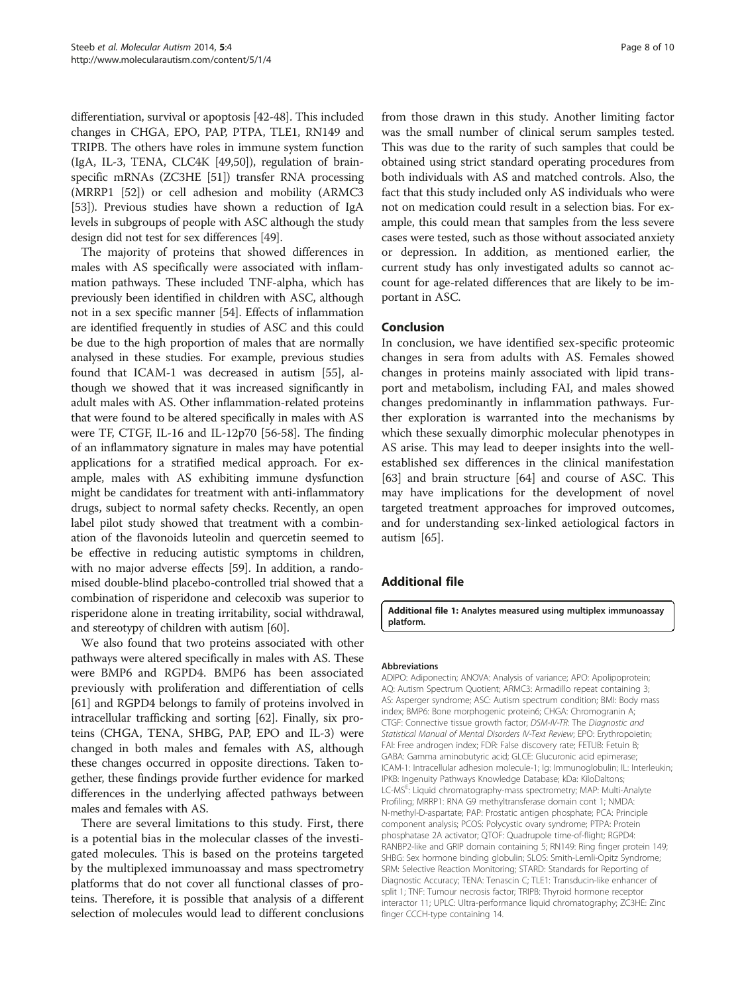<span id="page-7-0"></span>differentiation, survival or apoptosis [\[42-48](#page-9-0)]. This included changes in CHGA, EPO, PAP, PTPA, TLE1, RN149 and TRIPB. The others have roles in immune system function (IgA, IL-3, TENA, CLC4K [[49,50\]](#page-9-0)), regulation of brainspecific mRNAs (ZC3HE [\[51\]](#page-9-0)) transfer RNA processing (MRRP1 [[52](#page-9-0)]) or cell adhesion and mobility (ARMC3 [[53](#page-9-0)]). Previous studies have shown a reduction of IgA levels in subgroups of people with ASC although the study design did not test for sex differences [[49](#page-9-0)].

The majority of proteins that showed differences in males with AS specifically were associated with inflammation pathways. These included TNF-alpha, which has previously been identified in children with ASC, although not in a sex specific manner [\[54\]](#page-9-0). Effects of inflammation are identified frequently in studies of ASC and this could be due to the high proportion of males that are normally analysed in these studies. For example, previous studies found that ICAM-1 was decreased in autism [\[55\]](#page-9-0), although we showed that it was increased significantly in adult males with AS. Other inflammation-related proteins that were found to be altered specifically in males with AS were TF, CTGF, IL-16 and IL-12p70 [[56](#page-9-0)-[58](#page-9-0)]. The finding of an inflammatory signature in males may have potential applications for a stratified medical approach. For example, males with AS exhibiting immune dysfunction might be candidates for treatment with anti-inflammatory drugs, subject to normal safety checks. Recently, an open label pilot study showed that treatment with a combination of the flavonoids luteolin and quercetin seemed to be effective in reducing autistic symptoms in children, with no major adverse effects [[59](#page-9-0)]. In addition, a randomised double-blind placebo-controlled trial showed that a combination of risperidone and celecoxib was superior to risperidone alone in treating irritability, social withdrawal, and stereotypy of children with autism [\[60\]](#page-9-0).

We also found that two proteins associated with other pathways were altered specifically in males with AS. These were BMP6 and RGPD4. BMP6 has been associated previously with proliferation and differentiation of cells [[61](#page-9-0)] and RGPD4 belongs to family of proteins involved in intracellular trafficking and sorting [\[62\]](#page-9-0). Finally, six proteins (CHGA, TENA, SHBG, PAP, EPO and IL-3) were changed in both males and females with AS, although these changes occurred in opposite directions. Taken together, these findings provide further evidence for marked differences in the underlying affected pathways between males and females with AS.

There are several limitations to this study. First, there is a potential bias in the molecular classes of the investigated molecules. This is based on the proteins targeted by the multiplexed immunoassay and mass spectrometry platforms that do not cover all functional classes of proteins. Therefore, it is possible that analysis of a different selection of molecules would lead to different conclusions

from those drawn in this study. Another limiting factor was the small number of clinical serum samples tested. This was due to the rarity of such samples that could be obtained using strict standard operating procedures from both individuals with AS and matched controls. Also, the fact that this study included only AS individuals who were not on medication could result in a selection bias. For example, this could mean that samples from the less severe cases were tested, such as those without associated anxiety or depression. In addition, as mentioned earlier, the current study has only investigated adults so cannot account for age-related differences that are likely to be important in ASC.

# Conclusion

In conclusion, we have identified sex-specific proteomic changes in sera from adults with AS. Females showed changes in proteins mainly associated with lipid transport and metabolism, including FAI, and males showed changes predominantly in inflammation pathways. Further exploration is warranted into the mechanisms by which these sexually dimorphic molecular phenotypes in AS arise. This may lead to deeper insights into the wellestablished sex differences in the clinical manifestation [[63\]](#page-9-0) and brain structure [[64\]](#page-9-0) and course of ASC. This may have implications for the development of novel targeted treatment approaches for improved outcomes, and for understanding sex-linked aetiological factors in autism [\[65](#page-9-0)].

# Additional file

[Additional file 1:](http://www.biomedcentral.com/content/supplementary/2040-2392-5-4-S1.doc) Analytes measured using multiplex immunoassay platform.

#### Abbreviations

ADIPO: Adiponectin; ANOVA: Analysis of variance; APO: Apolipoprotein; AQ: Autism Spectrum Quotient; ARMC3: Armadillo repeat containing 3; AS: Asperger syndrome; ASC: Autism spectrum condition; BMI: Body mass index; BMP6: Bone morphogenic protein6; CHGA: Chromogranin A; CTGF: Connective tissue growth factor; DSM-IV-TR: The Diagnostic and Statistical Manual of Mental Disorders IV-Text Review; EPO: Erythropoietin; FAI: Free androgen index; FDR: False discovery rate; FETUB: Fetuin B; GABA: Gamma aminobutyric acid; GLCE: Glucuronic acid epimerase; ICAM-1: Intracellular adhesion molecule-1; Ig: Immunoglobulin; IL: Interleukin; IPKB: Ingenuity Pathways Knowledge Database; kDa: KiloDaltons; LC-MSE: Liquid chromatography-mass spectrometry; MAP: Multi-Analyte Profiling; MRRP1: RNA G9 methyltransferase domain cont 1; NMDA: N-methyl-D-aspartate; PAP: Prostatic antigen phosphate; PCA: Principle component analysis; PCOS: Polycystic ovary syndrome; PTPA: Protein phosphatase 2A activator; QTOF: Quadrupole time-of-flight; RGPD4: RANBP2-like and GRIP domain containing 5; RN149: Ring finger protein 149; SHBG: Sex hormone binding globulin; SLOS: Smith-Lemli-Opitz Syndrome; SRM: Selective Reaction Monitoring; STARD: Standards for Reporting of Diagnostic Accuracy; TENA: Tenascin C; TLE1: Transducin-like enhancer of split 1; TNF: Tumour necrosis factor; TRIPB: Thyroid hormone receptor interactor 11; UPLC: Ultra-performance liquid chromatography; ZC3HE: Zinc finger CCCH-type containing 14.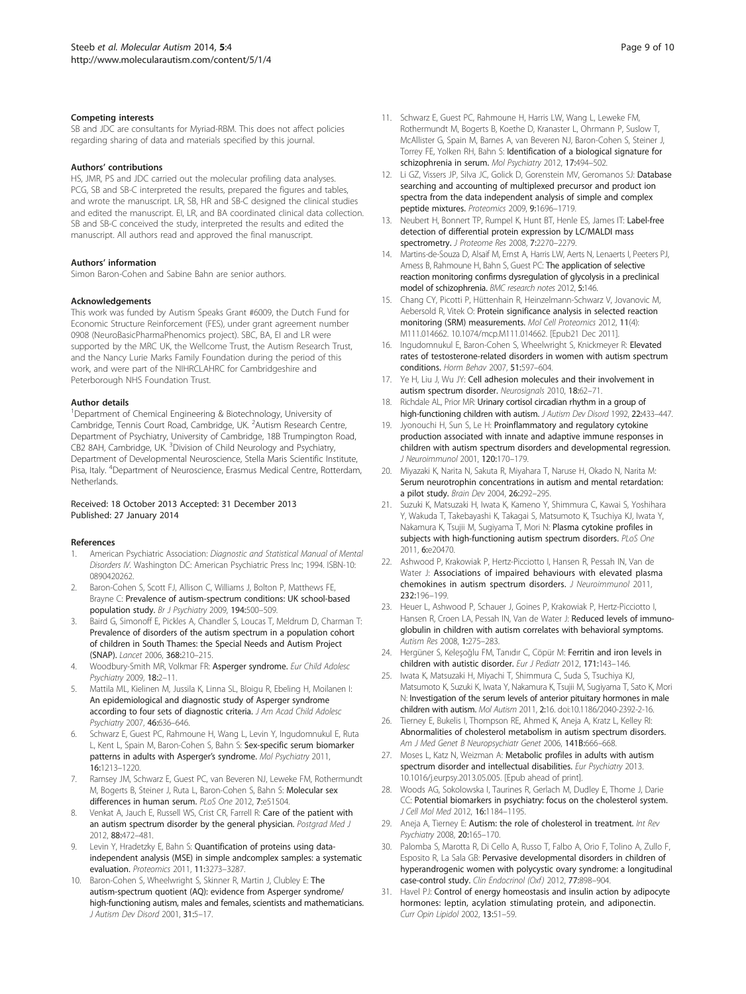#### <span id="page-8-0"></span>Competing interests

SB and JDC are consultants for Myriad-RBM. This does not affect policies regarding sharing of data and materials specified by this journal.

#### Authors' contributions

HS, JMR, PS and JDC carried out the molecular profiling data analyses. PCG, SB and SB-C interpreted the results, prepared the figures and tables, and wrote the manuscript. LR, SB, HR and SB-C designed the clinical studies and edited the manuscript. EI, LR, and BA coordinated clinical data collection. SB and SB-C conceived the study, interpreted the results and edited the manuscript. All authors read and approved the final manuscript.

#### Authors' information

Simon Baron-Cohen and Sabine Bahn are senior authors.

#### Acknowledgements

This work was funded by Autism Speaks Grant #6009, the Dutch Fund for Economic Structure Reinforcement (FES), under grant agreement number 0908 (NeuroBasicPharmaPhenomics project). SBC, BA, EI and LR were supported by the MRC UK, the Wellcome Trust, the Autism Research Trust, and the Nancy Lurie Marks Family Foundation during the period of this work, and were part of the NIHRCLAHRC for Cambridgeshire and Peterborough NHS Foundation Trust.

#### Author details

<sup>1</sup>Department of Chemical Engineering & Biotechnology, University of Cambridge, Tennis Court Road, Cambridge, UK. <sup>2</sup>Autism Research Centre, Department of Psychiatry, University of Cambridge, 18B Trumpington Road, CB2 8AH, Cambridge, UK.<sup>3</sup> Division of Child Neurology and Psychiatry, Department of Developmental Neuroscience, Stella Maris Scientific Institute, Pisa, Italy. <sup>4</sup>Department of Neuroscience, Erasmus Medical Centre, Rotterdam, Netherlands.

#### Received: 18 October 2013 Accepted: 31 December 2013 Published: 27 January 2014

#### References

- American Psychiatric Association: Diagnostic and Statistical Manual of Mental Disorders IV. Washington DC: American Psychiatric Press Inc; 1994. ISBN-10: 0890420262
- 2. Baron-Cohen S, Scott FJ, Allison C, Williams J, Bolton P, Matthews FE, Brayne C: Prevalence of autism-spectrum conditions: UK school-based population study. Br J Psychiatry 2009, 194:500–509.
- Baird G, Simonoff E, Pickles A, Chandler S, Loucas T, Meldrum D, Charman T: Prevalence of disorders of the autism spectrum in a population cohort of children in South Thames: the Special Needs and Autism Project (SNAP). Lancet 2006, 368:210–215.
- 4. Woodbury-Smith MR, Volkmar FR: Asperger syndrome. Eur Child Adolesc Psychiatry 2009, 18:2–11.
- 5. Mattila ML, Kielinen M, Jussila K, Linna SL, Bloigu R, Ebeling H, Moilanen I: An epidemiological and diagnostic study of Asperger syndrome according to four sets of diagnostic criteria. J Am Acad Child Adolesc Psychiatry 2007, 46:636–646.
- Schwarz E, Guest PC, Rahmoune H, Wang L, Levin Y, Ingudomnukul E, Ruta L, Kent L, Spain M, Baron-Cohen S, Bahn S: Sex-specific serum biomarker patterns in adults with Asperger's syndrome. Mol Psychiatry 2011, 16:1213–1220.
- 7. Ramsey JM, Schwarz E, Guest PC, van Beveren NJ, Leweke FM, Rothermundt M, Bogerts B, Steiner J, Ruta L, Baron-Cohen S, Bahn S: Molecular sex differences in human serum. PLoS One 2012, 7:e51504.
- 8. Venkat A, Jauch E, Russell WS, Crist CR, Farrell R: Care of the patient with an autism spectrum disorder by the general physician. Postgrad Med J 2012, 88:472–481.
- Levin Y, Hradetzky E, Bahn S: Quantification of proteins using dataindependent analysis (MSE) in simple andcomplex samples: a systematic evaluation. Proteomics 2011, 11:3273–3287.
- 10. Baron-Cohen S, Wheelwright S, Skinner R, Martin J, Clubley E: The autism-spectrum quotient (AQ): evidence from Asperger syndrome/ high-functioning autism, males and females, scientists and mathematicians. J Autism Dev Disord 2001, 31:5–17.
- 11. Schwarz E, Guest PC, Rahmoune H, Harris LW, Wang L, Leweke FM, Rothermundt M, Bogerts B, Koethe D, Kranaster L, Ohrmann P, Suslow T, McAllister G, Spain M, Barnes A, van Beveren NJ, Baron-Cohen S, Steiner J, Torrey FE, Yolken RH, Bahn S: Identification of a biological signature for schizophrenia in serum. Mol Psychiatry 2012, 17:494–502.
- 12. Li GZ, Vissers JP, Silva JC, Golick D, Gorenstein MV, Geromanos SJ: Database searching and accounting of multiplexed precursor and product ion spectra from the data independent analysis of simple and complex peptide mixtures. Proteomics 2009, 9:1696–1719.
- 13. Neubert H, Bonnert TP, Rumpel K, Hunt BT, Henle ES, James IT: Label-free detection of differential protein expression by LC/MALDI mass spectrometry. *J Proteome Res* 2008, 7:2270-2279.
- 14. Martins-de-Souza D, Alsaif M, Ernst A, Harris LW, Aerts N, Lenaerts I, Peeters PJ, Amess B, Rahmoune H, Bahn S, Guest PC: The application of selective reaction monitoring confirms dysregulation of glycolysis in a preclinical model of schizophrenia. BMC research notes 2012, 5:146.
- 15. Chang CY, Picotti P, Hüttenhain R, Heinzelmann-Schwarz V, Jovanovic M, Aebersold R, Vitek O: Protein significance analysis in selected reaction monitoring (SRM) measurements. Mol Cell Proteomics 2012, 11(4): M111.014662. 10.1074/mcp.M111.014662. [Epub21 Dec 2011].
- 16. Ingudomnukul E, Baron-Cohen S, Wheelwright S, Knickmeyer R: Elevated rates of testosterone-related disorders in women with autism spectrum conditions. Horm Behav 2007, 51:597–604.
- 17. Ye H, Liu J, Wu JY: Cell adhesion molecules and their involvement in autism spectrum disorder. Neurosignals 2010, 18:62–71.
- 18. Richdale AL, Prior MR: Urinary cortisol circadian rhythm in a group of high-functioning children with autism. J Autism Dev Disord 1992, 22:433–447.
- 19. Jyonouchi H, Sun S, Le H: Proinflammatory and regulatory cytokine production associated with innate and adaptive immune responses in children with autism spectrum disorders and developmental regression. J Neuroimmunol 2001, 120:170–179.
- 20. Miyazaki K, Narita N, Sakuta R, Miyahara T, Naruse H, Okado N, Narita M: Serum neurotrophin concentrations in autism and mental retardation: a pilot study. Brain Dev 2004, 26:292–295.
- 21. Suzuki K, Matsuzaki H, Iwata K, Kameno Y, Shimmura C, Kawai S, Yoshihara Y, Wakuda T, Takebayashi K, Takagai S, Matsumoto K, Tsuchiya KJ, Iwata Y, Nakamura K, Tsujii M, Sugiyama T, Mori N: Plasma cytokine profiles in subjects with high-functioning autism spectrum disorders. PLoS One 2011, 6:e20470.
- 22. Ashwood P, Krakowiak P, Hertz-Picciotto I, Hansen R, Pessah IN, Van de Water J: Associations of impaired behaviours with elevated plasma chemokines in autism spectrum disorders. J Neuroimmunol 2011, 232:196–199.
- 23. Heuer L, Ashwood P, Schauer J, Goines P, Krakowiak P, Hertz-Picciotto I, Hansen R, Croen LA, Pessah IN, Van de Water J: Reduced levels of immunoglobulin in children with autism correlates with behavioral symptoms. Autism Res 2008, 1:275–283.
- 24. Hergüner S, Keleşoğlu FM, Tanıdır C, Cöpür M: Ferritin and iron levels in children with autistic disorder. Eur J Pediatr 2012, 171:143-146.
- 25. Iwata K, Matsuzaki H, Miyachi T, Shimmura C, Suda S, Tsuchiya KJ, Matsumoto K, Suzuki K, Iwata Y, Nakamura K, Tsujii M, Sugiyama T, Sato K, Mori N: Investigation of the serum levels of anterior pituitary hormones in male children with autism. Mol Autism 2011, 2:16. doi:10.1186/2040-2392-2-16.
- 26. Tierney E, Bukelis I, Thompson RE, Ahmed K, Aneja A, Kratz L, Kelley RI: Abnormalities of cholesterol metabolism in autism spectrum disorders. Am J Med Genet B Neuropsychiatr Genet 2006, 141B:666–668.
- 27. Moses L, Katz N, Weizman A: Metabolic profiles in adults with autism spectrum disorder and intellectual disabilities. Eur Psychiatry 2013. 10.1016/j.eurpsy.2013.05.005. [Epub ahead of print].
- 28. Woods AG, Sokolowska I, Taurines R, Gerlach M, Dudley E, Thome J, Darie CC: Potential biomarkers in psychiatry: focus on the cholesterol system. J Cell Mol Med 2012, 16:1184–1195.
- 29. Aneja A, Tierney E: Autism: the role of cholesterol in treatment. Int Rev Psychiatry 2008, 20:165–170.
- 30. Palomba S, Marotta R, Di Cello A, Russo T, Falbo A, Orio F, Tolino A, Zullo F, Esposito R, La Sala GB: Pervasive developmental disorders in children of hyperandrogenic women with polycystic ovary syndrome: a longitudinal case-control study. Clin Endocrinol (Oxf) 2012, 77:898–904.
- 31. Havel PJ: Control of energy homeostasis and insulin action by adipocyte hormones: leptin, acylation stimulating protein, and adiponectin. Curr Opin Lipidol 2002, 13:51–59.